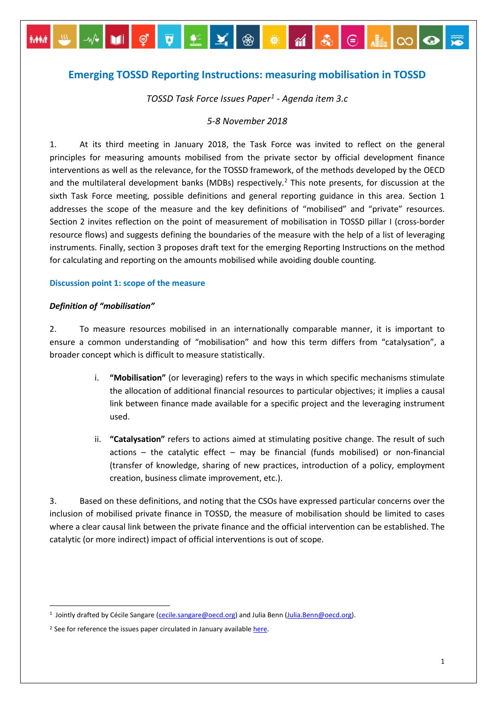# **Emerging TOSSD Reporting Instructions: measuring mobilisation in TOSSD**

# *TOSSD Task Force Issues Paper[1](#page-0-0) - Agenda item 3.c*

### *5-8 November 2018*

1. At its third meeting in January 2018, the Task Force was invited to reflect on the general principles for measuring amounts mobilised from the private sector by official development finance interventions as well as the relevance, for the TOSSD framework, of the methods developed by the OECD and the multilateral development banks (MDBs) respectively. [2](#page-0-1) This note presents, for discussion at the sixth Task Force meeting, possible definitions and general reporting guidance in this area. Section 1 addresses the scope of the measure and the key definitions of "mobilised" and "private" resources. Section 2 invites reflection on the point of measurement of mobilisation in TOSSD pillar I (cross-border resource flows) and suggests defining the boundaries of the measure with the help of a list of leveraging instruments. Finally, section 3 proposes draft text for the emerging Reporting Instructions on the method for calculating and reporting on the amounts mobilised while avoiding double counting.

### **Discussion point 1: scope of the measure**

### *Definition of "mobilisation"*

2. To measure resources mobilised in an internationally comparable manner, it is important to ensure a common understanding of "mobilisation" and how this term differs from "catalysation", a broader concept which is difficult to measure statistically.

- i. **"Mobilisation"** (or leveraging) refers to the ways in which specific mechanisms stimulate the allocation of additional financial resources to particular objectives; it implies a causal link between finance made available for a specific project and the leveraging instrument used.
- ii. **"Catalysation"** refers to actions aimed at stimulating positive change. The result of such actions – the catalytic effect – may be financial (funds mobilised) or non-financial (transfer of knowledge, sharing of new practices, introduction of a policy, employment creation, business climate improvement, etc.).

3. Based on these definitions, and noting that the CSOs have expressed particular concerns over the inclusion of mobilised private finance in TOSSD, the measure of mobilisation should be limited to cases where a clear causal link between the private finance and the official intervention can be established. The catalytic (or more indirect) impact of official interventions is out of scope.

<span id="page-0-0"></span><sup>&</sup>lt;sup>1</sup> Jointly drafted by Cécile Sangare [\(cecile.sangare@oecd.org\)](mailto:cecile.sangare@oecd.org) and Julia Benn [\(Julia.Benn@oecd.org\)](mailto:Julia.Benn@oecd.org).

<span id="page-0-1"></span><sup>&</sup>lt;sup>2</sup> See for reference the issues paper circulated in January availabl[e here.](http://www.oecd.org/dac/financing-sustainable-development/development-finance-standards/TOSSD-Third-Task-Force-Item8b.pdf)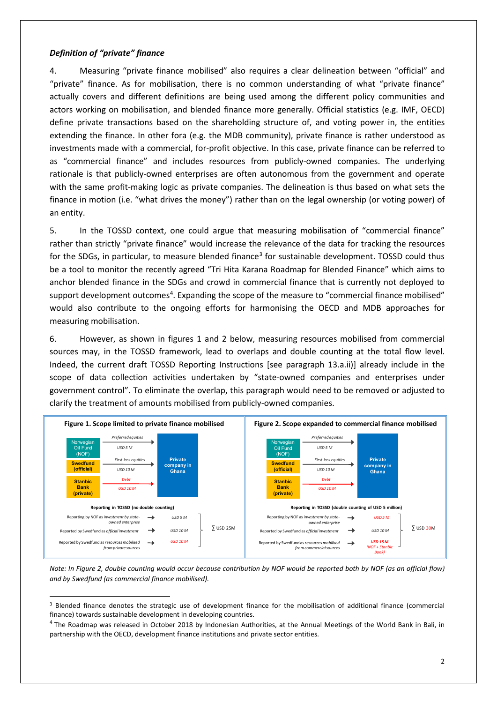# *Definition of "private" finance*

4. Measuring "private finance mobilised" also requires a clear delineation between "official" and "private" finance. As for mobilisation, there is no common understanding of what "private finance" actually covers and different definitions are being used among the different policy communities and actors working on mobilisation, and blended finance more generally. Official statistics (e.g. IMF, OECD) define private transactions based on the shareholding structure of, and voting power in, the entities extending the finance. In other fora (e.g. the MDB community), private finance is rather understood as investments made with a commercial, for-profit objective. In this case, private finance can be referred to as "commercial finance" and includes resources from publicly-owned companies. The underlying rationale is that publicly-owned enterprises are often autonomous from the government and operate with the same profit-making logic as private companies. The delineation is thus based on what sets the finance in motion (i.e. "what drives the money") rather than on the legal ownership (or voting power) of an entity.

5. In the TOSSD context, one could argue that measuring mobilisation of "commercial finance" rather than strictly "private finance" would increase the relevance of the data for tracking the resources for the SDGs, in particular, to measure blended finance<sup>[3](#page-1-0)</sup> for sustainable development. TOSSD could thus be a tool to monitor the recently agreed "Tri Hita Karana Roadmap for Blended Finance" which aims to anchor blended finance in the SDGs and crowd in commercial finance that is currently not deployed to support development outcomes<sup>[4](#page-1-1)</sup>. Expanding the scope of the measure to "commercial finance mobilised" would also contribute to the ongoing efforts for harmonising the OECD and MDB approaches for measuring mobilisation.

6. However, as shown in figures 1 and 2 below, measuring resources mobilised from commercial sources may, in the TOSSD framework, lead to overlaps and double counting at the total flow level. Indeed, the current draft TOSSD Reporting Instructions [see paragraph 13.a.ii)] already include in the scope of data collection activities undertaken by "state-owned companies and enterprises under government control". To eliminate the overlap, this paragraph would need to be removed or adjusted to clarify the treatment of amounts mobilised from publicly-owned companies.



*Note: In Figure 2, double counting would occur because contribution by NOF would be reported both by NOF (as an official flow) and by Swedfund (as commercial finance mobilised).*

<span id="page-1-0"></span> <sup>3</sup> Blended finance denotes the strategic use of development finance for the mobilisation of additional finance (commercial finance) towards sustainable development in developing countries.

<span id="page-1-1"></span><sup>4</sup> The Roadmap was released in October 2018 by Indonesian Authorities, at the Annual Meetings of the World Bank in Bali, in partnership with the OECD, development finance institutions and private sector entities.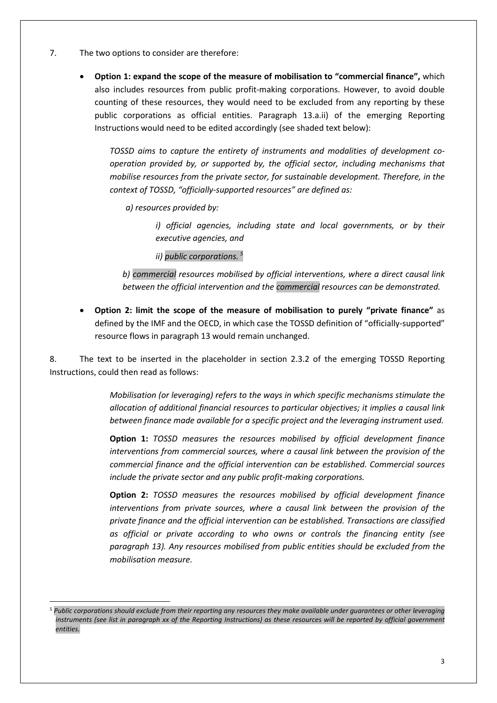- 7. The two options to consider are therefore:
	- **Option 1: expand the scope of the measure of mobilisation to "commercial finance",** which also includes resources from public profit-making corporations. However, to avoid double counting of these resources, they would need to be excluded from any reporting by these public corporations as official entities. Paragraph 13.a.ii) of the emerging Reporting Instructions would need to be edited accordingly (see shaded text below):

*TOSSD aims to capture the entirety of instruments and modalities of development cooperation provided by, or supported by, the official sector, including mechanisms that mobilise resources from the private sector, for sustainable development. Therefore, in the context of TOSSD, "officially-supported resources" are defined as:* 

*a) resources provided by:* 

*i*) official agencies, including state and local governments, or by their *executive agencies, and* 

*ii) public corporations. [5](#page-2-0)*

*b) commercial resources mobilised by official interventions, where a direct causal link between the official intervention and the commercial resources can be demonstrated.*

• **Option 2: limit the scope of the measure of mobilisation to purely "private finance"** as defined by the IMF and the OECD, in which case the TOSSD definition of "officially-supported" resource flows in paragraph 13 would remain unchanged.

8. The text to be inserted in the placeholder in section 2.3.2 of the emerging TOSSD Reporting Instructions, could then read as follows:

> *Mobilisation (or leveraging) refers to the ways in which specific mechanisms stimulate the allocation of additional financial resources to particular objectives; it implies a causal link between finance made available for a specific project and the leveraging instrument used.*

> **Option 1:** *TOSSD measures the resources mobilised by official development finance interventions from commercial sources, where a causal link between the provision of the commercial finance and the official intervention can be established. Commercial sources include the private sector and any public profit-making corporations.*

> **Option 2:** *TOSSD measures the resources mobilised by official development finance interventions from private sources, where a causal link between the provision of the private finance and the official intervention can be established. Transactions are classified as official or private according to who owns or controls the financing entity (see paragraph 13). Any resources mobilised from public entities should be excluded from the mobilisation measure.*

<span id="page-2-0"></span> <sup>5</sup> *Public corporations should exclude from their reporting any resources they make available under guarantees or other leveraging instruments (see list in paragraph xx of the Reporting Instructions) as these resources will be reported by official government entities.*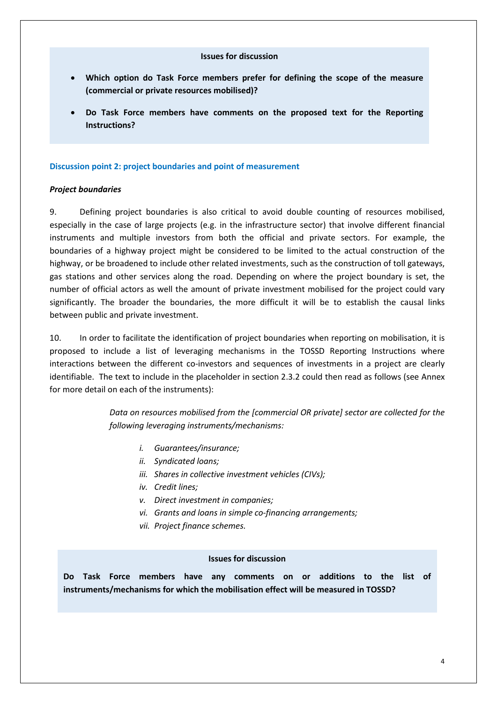### **Issues for discussion**

- **Which option do Task Force members prefer for defining the scope of the measure (commercial or private resources mobilised)?**
- **Do Task Force members have comments on the proposed text for the Reporting Instructions?**

### **Discussion point 2: project boundaries and point of measurement**

### *Project boundaries*

9. Defining project boundaries is also critical to avoid double counting of resources mobilised, especially in the case of large projects (e.g. in the infrastructure sector) that involve different financial instruments and multiple investors from both the official and private sectors. For example, the boundaries of a highway project might be considered to be limited to the actual construction of the highway, or be broadened to include other related investments, such as the construction of toll gateways, gas stations and other services along the road. Depending on where the project boundary is set, the number of official actors as well the amount of private investment mobilised for the project could vary significantly. The broader the boundaries, the more difficult it will be to establish the causal links between public and private investment.

10. In order to facilitate the identification of project boundaries when reporting on mobilisation, it is proposed to include a list of leveraging mechanisms in the TOSSD Reporting Instructions where interactions between the different co-investors and sequences of investments in a project are clearly identifiable. The text to include in the placeholder in section 2.3.2 could then read as follows (see Annex for more detail on each of the instruments):

> *Data on resources mobilised from the [commercial OR private] sector are collected for the following leveraging instruments/mechanisms:*

- *i. Guarantees/insurance;*
- *ii. Syndicated loans;*
- *iii. Shares in collective investment vehicles (CIVs);*
- *iv. Credit lines;*
- *v. Direct investment in companies;*
- *vi. Grants and loans in simple co-financing arrangements;*
- *vii. Project finance schemes.*

### **Issues for discussion**

**Do Task Force members have any comments on or additions to the list of instruments/mechanisms for which the mobilisation effect will be measured in TOSSD?**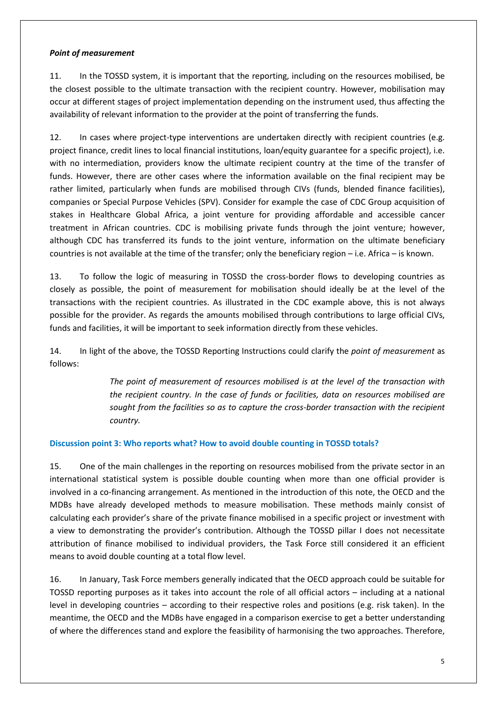# *Point of measurement*

11. In the TOSSD system, it is important that the reporting, including on the resources mobilised, be the closest possible to the ultimate transaction with the recipient country. However, mobilisation may occur at different stages of project implementation depending on the instrument used, thus affecting the availability of relevant information to the provider at the point of transferring the funds.

12. In cases where project-type interventions are undertaken directly with recipient countries (e.g. project finance, credit lines to local financial institutions, loan/equity guarantee for a specific project), i.e. with no intermediation, providers know the ultimate recipient country at the time of the transfer of funds. However, there are other cases where the information available on the final recipient may be rather limited, particularly when funds are mobilised through CIVs (funds, blended finance facilities), companies or Special Purpose Vehicles (SPV). Consider for example the case of CDC Group acquisition of stakes in Healthcare Global Africa, a joint venture for providing affordable and accessible cancer treatment in African countries. CDC is mobilising private funds through the joint venture; however, although CDC has transferred its funds to the joint venture, information on the ultimate beneficiary countries is not available at the time of the transfer; only the beneficiary region – i.e. Africa – is known.

13. To follow the logic of measuring in TOSSD the cross-border flows to developing countries as closely as possible, the point of measurement for mobilisation should ideally be at the level of the transactions with the recipient countries. As illustrated in the CDC example above, this is not always possible for the provider. As regards the amounts mobilised through contributions to large official CIVs, funds and facilities, it will be important to seek information directly from these vehicles.

14. In light of the above, the TOSSD Reporting Instructions could clarify the *point of measurement* as follows:

> *The point of measurement of resources mobilised is at the level of the transaction with the recipient country. In the case of funds or facilities, data on resources mobilised are sought from the facilities so as to capture the cross-border transaction with the recipient country.*

# **Discussion point 3: Who reports what? How to avoid double counting in TOSSD totals?**

15. One of the main challenges in the reporting on resources mobilised from the private sector in an international statistical system is possible double counting when more than one official provider is involved in a co-financing arrangement. As mentioned in the introduction of this note, the OECD and the MDBs have already developed methods to measure mobilisation. These methods mainly consist of calculating each provider's share of the private finance mobilised in a specific project or investment with a view to demonstrating the provider's contribution. Although the TOSSD pillar I does not necessitate attribution of finance mobilised to individual providers, the Task Force still considered it an efficient means to avoid double counting at a total flow level.

16. In January, Task Force members generally indicated that the OECD approach could be suitable for TOSSD reporting purposes as it takes into account the role of all official actors – including at a national level in developing countries – according to their respective roles and positions (e.g. risk taken). In the meantime, the OECD and the MDBs have engaged in a comparison exercise to get a better understanding of where the differences stand and explore the feasibility of harmonising the two approaches. Therefore,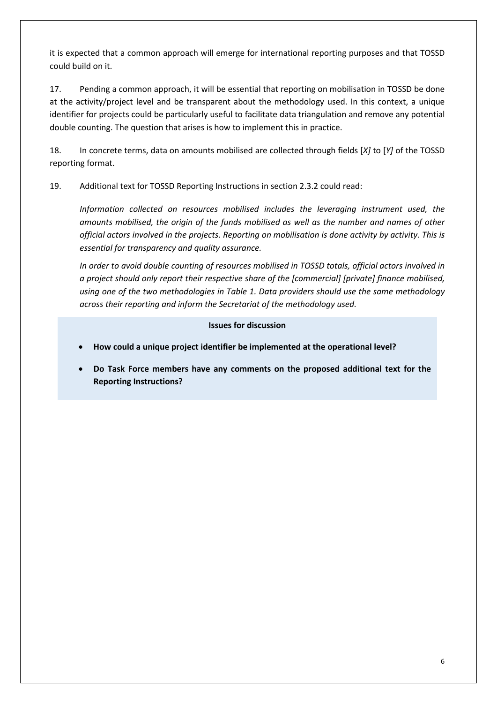it is expected that a common approach will emerge for international reporting purposes and that TOSSD could build on it.

17. Pending a common approach, it will be essential that reporting on mobilisation in TOSSD be done at the activity/project level and be transparent about the methodology used. In this context, a unique identifier for projects could be particularly useful to facilitate data triangulation and remove any potential double counting. The question that arises is how to implement this in practice.

18. In concrete terms, data on amounts mobilised are collected through fields [*X]* to [*Y]* of the TOSSD reporting format.

19. Additional text for TOSSD Reporting Instructions in section 2.3.2 could read:

*Information collected on resources mobilised includes the leveraging instrument used, the amounts mobilised, the origin of the funds mobilised as well as the number and names of other official actors involved in the projects. Reporting on mobilisation is done activity by activity. This is essential for transparency and quality assurance.* 

*In order to avoid double counting of resources mobilised in TOSSD totals, official actors involved in a project should only report their respective share of the [commercial] [private] finance mobilised, using one of the two methodologies in Table 1. Data providers should use the same methodology across their reporting and inform the Secretariat of the methodology used.*

# **Issues for discussion**

- **How could a unique project identifier be implemented at the operational level?**
- **Do Task Force members have any comments on the proposed additional text for the Reporting Instructions?**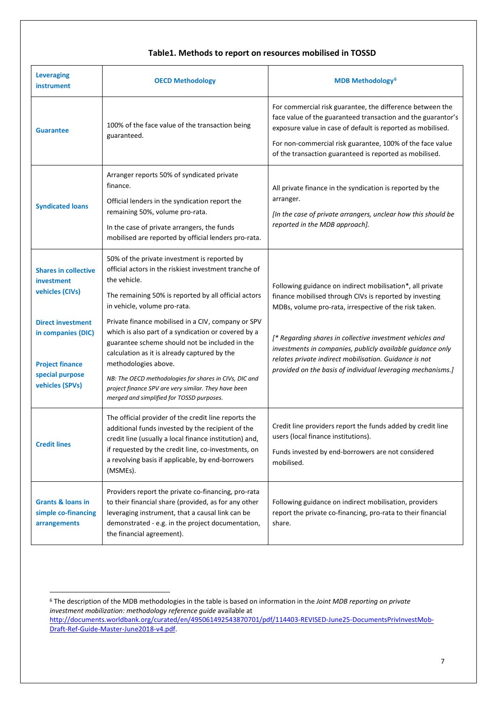# **Table1. Methods to report on resources mobilised in TOSSD**

| <b>Leveraging</b><br><b>instrument</b>                                                                                                                      | <b>OECD Methodology</b>                                                                                                                                                                                                                                                                                                                                                                                                                              | <b>MDB Methodology<sup>6</sup></b>                                                                                                                                                                                                                                                                                                                                                                                                 |
|-------------------------------------------------------------------------------------------------------------------------------------------------------------|------------------------------------------------------------------------------------------------------------------------------------------------------------------------------------------------------------------------------------------------------------------------------------------------------------------------------------------------------------------------------------------------------------------------------------------------------|------------------------------------------------------------------------------------------------------------------------------------------------------------------------------------------------------------------------------------------------------------------------------------------------------------------------------------------------------------------------------------------------------------------------------------|
| <b>Guarantee</b>                                                                                                                                            | 100% of the face value of the transaction being<br>guaranteed.                                                                                                                                                                                                                                                                                                                                                                                       | For commercial risk guarantee, the difference between the<br>face value of the guaranteed transaction and the guarantor's<br>exposure value in case of default is reported as mobilised.<br>For non-commercial risk guarantee, 100% of the face value<br>of the transaction guaranteed is reported as mobilised.                                                                                                                   |
| <b>Syndicated loans</b>                                                                                                                                     | Arranger reports 50% of syndicated private<br>finance.<br>Official lenders in the syndication report the<br>remaining 50%, volume pro-rata.<br>In the case of private arrangers, the funds<br>mobilised are reported by official lenders pro-rata.                                                                                                                                                                                                   | All private finance in the syndication is reported by the<br>arranger.<br>[In the case of private arrangers, unclear how this should be<br>reported in the MDB approach].                                                                                                                                                                                                                                                          |
| <b>Shares in collective</b><br>investment<br>vehicles (CIVs)<br><b>Direct investment</b><br>in companies (DIC)<br><b>Project finance</b><br>special purpose | 50% of the private investment is reported by<br>official actors in the riskiest investment tranche of<br>the vehicle.<br>The remaining 50% is reported by all official actors<br>in vehicle, volume pro-rata.<br>Private finance mobilised in a CIV, company or SPV<br>which is also part of a syndication or covered by a<br>guarantee scheme should not be included in the<br>calculation as it is already captured by the<br>methodologies above. | Following guidance on indirect mobilisation*, all private<br>finance mobilised through CIVs is reported by investing<br>MDBs, volume pro-rata, irrespective of the risk taken.<br>[* Regarding shares in collective investment vehicles and<br>investments in companies, publicly available guidance only<br>relates private indirect mobilisation. Guidance is not<br>provided on the basis of individual leveraging mechanisms.] |
| vehicles (SPVs)                                                                                                                                             | NB: The OECD methodologies for shares in CIVs, DIC and<br>project finance SPV are very similar. They have been<br>merged and simplified for TOSSD purposes.                                                                                                                                                                                                                                                                                          |                                                                                                                                                                                                                                                                                                                                                                                                                                    |
| <b>Credit lines</b>                                                                                                                                         | The official provider of the credit line reports the<br>additional funds invested by the recipient of the<br>credit line (usually a local finance institution) and,<br>if requested by the credit line, co-investments, on<br>a revolving basis if applicable, by end-borrowers<br>(MSMEs).                                                                                                                                                          | Credit line providers report the funds added by credit line<br>users (local finance institutions).<br>Funds invested by end-borrowers are not considered<br>mobilised.                                                                                                                                                                                                                                                             |
| <b>Grants &amp; loans in</b><br>simple co-financing<br>arrangements                                                                                         | Providers report the private co-financing, pro-rata<br>to their financial share (provided, as for any other<br>leveraging instrument, that a causal link can be<br>demonstrated - e.g. in the project documentation,<br>the financial agreement).                                                                                                                                                                                                    | Following guidance on indirect mobilisation, providers<br>report the private co-financing, pro-rata to their financial<br>share.                                                                                                                                                                                                                                                                                                   |

<span id="page-6-0"></span> <sup>6</sup> The description of the MDB methodologies in the table is based on information in the *Joint MDB reporting on private investment mobilization: methodology reference guide* available at [http://documents.worldbank.org/curated/en/495061492543870701/pdf/114403-REVISED-June25-DocumentsPrivInvestMob-](http://documents.worldbank.org/curated/en/495061492543870701/pdf/114403-REVISED-June25-DocumentsPrivInvestMob-Draft-Ref-Guide-Master-June2018-v4.pdf)[Draft-Ref-Guide-Master-June2018-v4.pdf.](http://documents.worldbank.org/curated/en/495061492543870701/pdf/114403-REVISED-June25-DocumentsPrivInvestMob-Draft-Ref-Guide-Master-June2018-v4.pdf)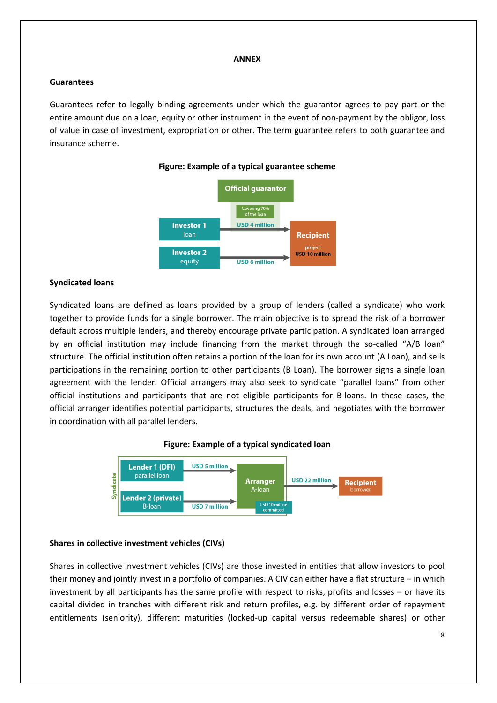#### **ANNEX**

### **Guarantees**

Guarantees refer to legally binding agreements under which the guarantor agrees to pay part or the entire amount due on a loan, equity or other instrument in the event of non-payment by the obligor, loss of value in case of investment, expropriation or other. The term guarantee refers to both guarantee and insurance scheme.



**Figure: Example of a typical guarantee scheme**

### **Syndicated loans**

Syndicated loans are defined as loans provided by a group of lenders (called a syndicate) who work together to provide funds for a single borrower. The main objective is to spread the risk of a borrower default across multiple lenders, and thereby encourage private participation. A syndicated loan arranged by an official institution may include financing from the market through the so-called "A/B loan" structure. The official institution often retains a portion of the loan for its own account (A Loan), and sells participations in the remaining portion to other participants (B Loan). The borrower signs a single loan agreement with the lender. Official arrangers may also seek to syndicate "parallel loans" from other official institutions and participants that are not eligible participants for B-loans. In these cases, the official arranger identifies potential participants, structures the deals, and negotiates with the borrower in coordination with all parallel lenders.





#### **Shares in collective investment vehicles (CIVs)**

Shares in collective investment vehicles (CIVs) are those invested in entities that allow investors to pool their money and jointly invest in a portfolio of companies. A CIV can either have a flat structure – in which investment by all participants has the same profile with respect to risks, profits and losses – or have its capital divided in tranches with different risk and return profiles, e.g. by different order of repayment entitlements (seniority), different maturities (locked-up capital versus redeemable shares) or other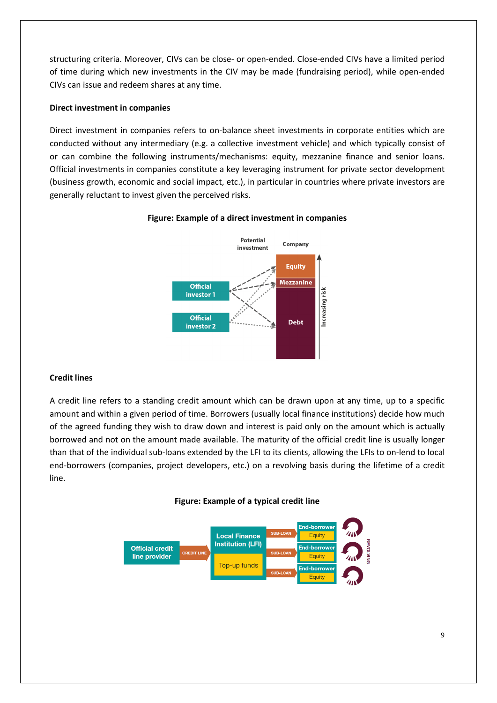structuring criteria. Moreover, CIVs can be close- or open-ended. Close-ended CIVs have a limited period of time during which new investments in the CIV may be made (fundraising period), while open-ended CIVs can issue and redeem shares at any time.

### **Direct investment in companies**

Direct investment in companies refers to on-balance sheet investments in corporate entities which are conducted without any intermediary (e.g. a collective investment vehicle) and which typically consist of or can combine the following instruments/mechanisms: equity, mezzanine finance and senior loans. Official investments in companies constitute a key leveraging instrument for private sector development (business growth, economic and social impact, etc.), in particular in countries where private investors are generally reluctant to invest given the perceived risks.



### **Figure: Example of a direct investment in companies**

# **Credit lines**

A credit line refers to a standing credit amount which can be drawn upon at any time, up to a specific amount and within a given period of time. Borrowers (usually local finance institutions) decide how much of the agreed funding they wish to draw down and interest is paid only on the amount which is actually borrowed and not on the amount made available. The maturity of the official credit line is usually longer than that of the individual sub-loans extended by the LFI to its clients, allowing the LFIs to on-lend to local end-borrowers (companies, project developers, etc.) on a revolving basis during the lifetime of a credit line.